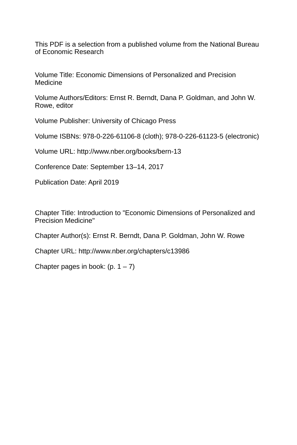This PDF is a selection from a published volume from the National Bureau of Economic Research

Volume Title: Economic Dimensions of Personalized and Precision Medicine

Volume Authors/Editors: Ernst R. Berndt, Dana P. Goldman, and John W. Rowe, editor

Volume Publisher: University of Chicago Press

Volume ISBNs: 978-0-226-61106-8 (cloth); 978-0-226-61123-5 (electronic)

Volume URL: http://www.nber.org/books/bern-13

Conference Date: September 13–14, 2017

Publication Date: April 2019

Chapter Title: Introduction to "Economic Dimensions of Personalized and Precision Medicine"

Chapter Author(s): Ernst R. Berndt, Dana P. Goldman, John W. Rowe

Chapter URL: http://www.nber.org/chapters/c13986

Chapter pages in book:  $(p. 1 – 7)$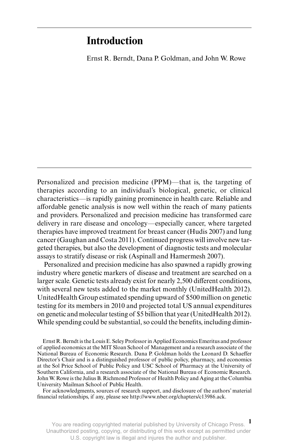## **Introduction**

Ernst R. Berndt, Dana P. Goldman, and John W. Rowe

Personalized and precision medicine (PPM)—that is, the targeting of therapies according to an individual's biological, genetic, or clinical characteristics—is rapidly gaining prominence in health care. Reliable and affordable genetic analysis is now well within the reach of many patients and providers. Personalized and precision medicine has transformed care delivery in rare disease and oncology—especially cancer, where targeted therapies have improved treatment for breast cancer (Hudis 2007) and lung cancer (Gaughan and Costa 2011). Continued progress will involve new targeted therapies, but also the development of diagnostic tests and molecular assays to stratify disease or risk (Aspinall and Hamermesh 2007).

Personalized and precision medicine has also spawned a rapidly growing industry where genetic markers of disease and treatment are searched on a larger scale. Genetic tests already exist for nearly 2,500 different conditions, with several new tests added to the market monthly (UnitedHealth 2012). UnitedHealth Group estimated spending upward of \$500 million on genetic testing for its members in 2010 and projected total US annual expenditures on genetic and molecular testing of \$5 billion that year (UnitedHealth 2012). While spending could be substantial, so could the benefits, including dimin-

Ernst R. Berndt is the Louis E. Seley Professor in Applied Economics Emeritus and professor of applied economics at the MIT Sloan School of Management and a research associate of the National Bureau of Economic Research. Dana P. Goldman holds the Leonard D. Schaeffer Director's Chair and is a distinguished professor of public policy, pharmacy, and economics at the Sol Price School of Public Policy and USC School of Pharmacy at the University of Southern California, and a research associate of the National Bureau of Economic Research. John W. Rowe is the Julius B. Richmond Professor of Health Policy and Aging at the Columbia University Mailman School of Public Health.

For acknowledgments, sources of research support, and disclosure of the authors' material financial relationships, if any, please see http://www.nber.org/chapters/c13986.ack.

**1** You are reading copyrighted material published by University of Chicago Press. Unauthorized posting, copying, or distributing of this work except as permitted under U.S. copyright law is illegal and injures the author and publisher.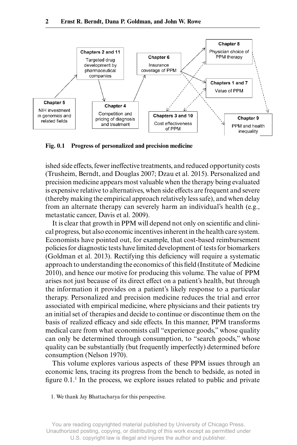

**Fig. 0.1 Progress of personalized and precision medicine**

ished side effects, fewer ineffective treatments, and reduced opportunity costs (Trusheim, Berndt, and Douglas 2007; Dzau et al. 2015). Personalized and precision medicine appears most valuable when the therapy being evaluated is expensive relative to alternatives, when side effects are frequent and severe (thereby making the empirical approach relatively less safe), and when delay from an alternate therapy can severely harm an individual's health (e.g., metastatic cancer, Davis et al. 2009).

It is clear that growth in PPM will depend not only on scientific and clinical progress, but also economic incentives inherent in the health care system. Economists have pointed out, for example, that cost- based reimbursement policies for diagnostic tests have limited development of tests for biomarkers (Goldman et al. 2013). Rectifying this deficiency will require a systematic approach to understanding the economics of this field (Institute of Medicine 2010), and hence our motive for producing this volume. The value of PPM arises not just because of its direct effect on a patient's health, but through the information it provides on a patient's likely response to a particular therapy. Personalized and precision medicine reduces the trial and error associated with empirical medicine, where physicians and their patients try an initial set of therapies and decide to continue or discontinue them on the basis of realized efficacy and side effects. In this manner, PPM transforms medical care from what economists call "experience goods," whose quality can only be determined through consumption, to "search goods," whose quality can be substantially (but frequently imperfectly) determined before consumption (Nelson 1970).

This volume explores various aspects of these PPM issues through an economic lens, tracing its progress from the bench to bedside, as noted in figure 0.1. 1 In the process, we explore issues related to public and private

1. We thank Jay Bhattacharya for this perspective.

You are reading copyrighted material published by University of Chicago Press. Unauthorized posting, copying, or distributing of this work except as permitted under U.S. copyright law is illegal and injures the author and publisher.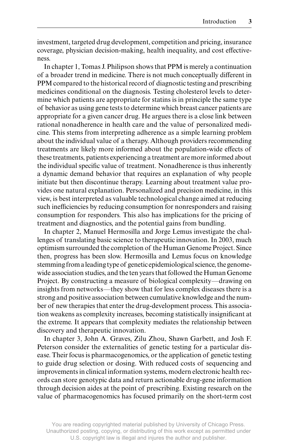investment, targeted drug development, competition and pricing, insurance coverage, physician decision- making, health inequality, and cost effectiveness.

In chapter 1, Tomas J. Philipson shows that PPM is merely a continuation of a broader trend in medicine. There is not much conceptually different in PPM compared to the historical record of diagnostic testing and prescribing medicines conditional on the diagnosis. Testing cholesterol levels to determine which patients are appropriate for statins is in principle the same type of behavior as using gene tests to determine which breast cancer patients are appropriate for a given cancer drug. He argues there is a close link between rational nonadherence in health care and the value of personalized medicine. This stems from interpreting adherence as a simple learning problem about the individual value of a therapy. Although providers recommending treatments are likely more informed about the population- wide effects of these treatments, patients experiencing a treatment are more informed about the individual specific value of treatment. Nonadherence is thus inherently a dynamic demand behavior that requires an explanation of why people initiate but then discontinue therapy. Learning about treatment value provides one natural explanation. Personalized and precision medicine, in this view, is best interpreted as valuable technological change aimed at reducing such inefficiencies by reducing consumption for nonresponders and raising consumption for responders. This also has implications for the pricing of treatment and diagnostics, and the potential gains from bundling.

In chapter 2, Manuel Hermosilla and Jorge Lemus investigate the challenges of translating basic science to therapeutic innovation. In 2003, much optimism surrounded the completion of the Human Genome Project. Since then, progress has been slow. Hermosilla and Lemus focus on knowledge stemming from a leading type of genetic epidemiological science, the genomewide association studies, and the ten years that followed the Human Genome Project. By constructing a measure of biological complexity—drawing on insights from networks—they show that for less complex diseases there is a strong and positive association between cumulative knowledge and the number of new therapies that enter the drug- development process. This association weakens as complexity increases, becoming statistically insignificant at the extreme. It appears that complexity mediates the relationship between discovery and therapeutic innovation.

In chapter 3, John A. Graves, Zilu Zhou, Shawn Garbett, and Josh F. Peterson consider the externalities of genetic testing for a particular disease. Their focus is pharmacogenomics, or the application of genetic testing to guide drug selection or dosing. With reduced costs of sequencing and improvements in clinical information systems, modern electronic health records can store genotypic data and return actionable drug- gene information through decision aides at the point of prescribing. Existing research on the value of pharmacogenomics has focused primarily on the short- term cost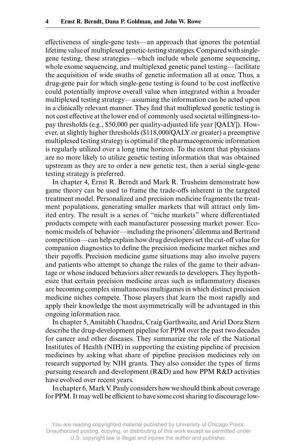effectiveness of single- gene tests—an approach that ignores the potential lifetime value of multiplexed genetic- testing strategies. Compared with singlegene testing, these strategies—which include whole genome sequencing, whole exome sequencing, and multiplexed genetic panel testing—facilitate the acquisition of wide swaths of genetic information all at once. Thus, a drug- gene pair for which single- gene testing is found to be cost ineffective could potentially improve overall value when integrated within a broader multiplexed testing strategy—assuming the information can be acted upon in a clinically relevant manner. They find that multiplexed genetic testing is not cost effective at the lower end of commonly used societal willingness- topay thresholds (e.g., \$50,000 per quality-adjusted life year [QALY]). However, at slightly higher thresholds (\$118,000/QALY or greater) a preemptive multiplexed testing strategy is optimal if the pharmacogenomic information is regularly utilized over a long time horizon. To the extent that physicians are no more likely to utilize genetic testing information that was obtained upstream as they are to order a new genetic test, then a serial single- gene testing strategy is preferred.

In chapter 4, Ernst R. Berndt and Mark R. Trusheim demonstrate how game theory can be used to frame the trade- offs inherent in the targeted treatment model. Personalized and precision medicine fragments the treatment populations, generating smaller markets that will attract only limited entry. The result is a series of "niche markets" where differentiated products compete with each manufacturer possessing market power. Economic models of behavior—including the prisoners' dilemma and Bertrand competition—can help explain how drug developers set the cut- off value for companion diagnostics to define the precision medicine market niches and their payoffs. Precision medicine game situations may also involve payers and patients who attempt to change the rules of the game to their advantage or whose induced behaviors alter rewards to developers. They hypothesize that certain precision medicine areas such as inflammatory diseases are becoming complex simultaneous multigames in which distinct precision medicine niches compete. Those players that learn the most rapidly and apply their knowledge the most asymmetrically will be advantaged in this ongoing information race.

In chapter 5, Amitabh Chandra, Craig Garthwaite, and Ariel Dora Stern describe the drug- development pipeline for PPM over the past two decades for cancer and other diseases. They summarize the role of the National Institutes of Health (NIH) in supporting the existing pipeline of precision medicines by asking what share of pipeline precision medicines rely on research supported by NIH grants. They also consider the types of firms pursuing research and development (R&D) and how PPM R&D activities have evolved over recent years.

In chapter 6, Mark V. Pauly considers how we should think about coverage for PPM. It may well be efficient to have some cost sharing to discourage low-

You are reading copyrighted material published by University of Chicago Press. Unauthorized posting, copying, or distributing of this work except as permitted under U.S. copyright law is illegal and injures the author and publisher.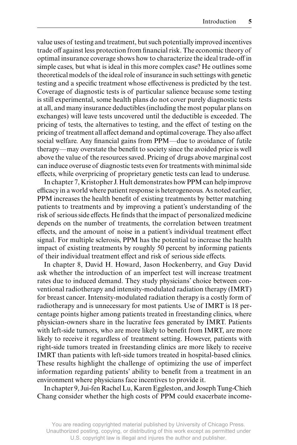value uses of testing and treatment, but such potentially improved incentives trade off against less protection from financial risk. The economic theory of optimal insurance coverage shows how to characterize the ideal trade- off in simple cases, but what is ideal in this more complex case? He outlines some theoretical models of the ideal role of insurance in such settings with genetic testing and a specific treatment whose effectiveness is predicted by the test. Coverage of diagnostic tests is of particular salience because some testing is still experimental, some health plans do not cover purely diagnostic tests at all, and many insurance deductibles (including the most popular plans on exchanges) will leave tests uncovered until the deductible is exceeded. The pricing of tests, the alternatives to testing, and the effect of testing on the pricing of treatment all affect demand and optimal coverage. They also affect social welfare. Any financial gains from PPM—due to avoidance of futile therapy—may overstate the benefit to society since the avoided price is well above the value of the resources saved. Pricing of drugs above marginal cost can induce overuse of diagnostic tests even for treatments with minimal side effects, while overpricing of proprietary genetic tests can lead to underuse.

In chapter 7, Kristopher J. Hult demonstrates how PPM can help improve efficacy in a world where patient response is heterogeneous. As noted earlier, PPM increases the health benefit of existing treatments by better matching patients to treatments and by improving a patient's understanding of the risk of serious side effects. He finds that the impact of personalized medicine depends on the number of treatments, the correlation between treatment effects, and the amount of noise in a patient's individual treatment effect signal. For multiple sclerosis, PPM has the potential to increase the health impact of existing treatments by roughly 50 percent by informing patients of their individual treatment effect and risk of serious side effects.

In chapter 8, David H. Howard, Jason Hockenberry, and Guy David ask whether the introduction of an imperfect test will increase treatment rates due to induced demand. They study physicians' choice between conventional radiotherapy and intensity- modulated radiation therapy (IMRT) for breast cancer. Intensity- modulated radiation therapy is a costly form of radiotherapy and is unnecessary for most patients. Use of IMRT is 18 percentage points higher among patients treated in freestanding clinics, where physician- owners share in the lucrative fees generated by IMRT. Patients with left-side tumors, who are more likely to benefit from IMRT, are more likely to receive it regardless of treatment setting. However, patients with right- side tumors treated in freestanding clinics are more likely to receive IMRT than patients with left-side tumors treated in hospital-based clinics. These results highlight the challenge of optimizing the use of imperfect information regarding patients' ability to benefit from a treatment in an environment where physicians face incentives to provide it.

In chapter 9, Jui- fen Rachel Lu, Karen Eggleston, and Joseph Tung- Chieh Chang consider whether the high costs of PPM could exacerbate income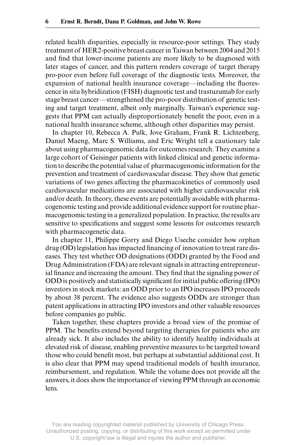related health disparities, especially in resource- poor settings. They study treatment of HER2- positive breast cancer in Taiwan between 2004 and 2015 and find that lower-income patients are more likely to be diagnosed with later stages of cancer, and this pattern renders coverage of target therapy pro- poor even before full coverage of the diagnostic tests. Moreover, the expansion of national health insurance coverage—including the fluorescence in situ hybridization (FISH) diagnostic test and trastuzumab for early stage breast cancer—strengthened the pro- poor distribution of genetic testing and target treatment, albeit only marginally. Taiwan's experience suggests that PPM can actually disproportionately benefit the poor, even in a national health insurance scheme, although other disparities may persist.

In chapter 10, Rebecca A. Pulk, Jove Graham, Frank R. Lichtenberg, Daniel Maeng, Marc S. Williams, and Eric Wright tell a cautionary tale about using pharmacogenomic data for outcomes research. They examine a large cohort of Geisinger patients with linked clinical and genetic information to describe the potential value of pharmacogenomic information for the prevention and treatment of cardiovascular disease. They show that genetic variations of two genes affecting the pharmacokinetics of commonly used cardiovascular medications are associated with higher cardiovascular risk and/or death. In theory, these events are potentially avoidable with pharmacogenomic testing and provide additional evidence support for routine pharmacogenomic testing in a generalized population. In practice, the results are sensitive to specifications and suggest some lessons for outcomes research with pharmacogenetic data.

In chapter 11, Philippe Gorry and Diego Useche consider how orphan drug (OD) legislation has impacted financing of innovation to treat rare diseases. They test whether OD designations (ODD) granted by the Food and Drug Administration (FDA) are relevant signals in attracting entrepreneurial finance and increasing the amount. They find that the signaling power of ODD is positively and statistically significant for initial public offering (IPO) investors in stock markets: an ODD prior to an IPO increases IPO proceeds by about 38 percent. The evidence also suggests ODDs are stronger than patent applications in attracting IPO investors and other valuable resources before companies go public.

Taken together, these chapters provide a broad view of the promise of PPM. The benefits extend beyond targeting therapies for patients who are already sick. It also includes the ability to identify healthy individuals at elevated risk of disease, enabling preventive measures to be targeted toward those who could benefit most, but perhaps at substantial additional cost. It is also clear that PPM may upend traditional models of health insurance, reimbursement, and regulation. While the volume does not provide all the answers, it does show the importance of viewing PPM through an economic lens.

You are reading copyrighted material published by University of Chicago Press. Unauthorized posting, copying, or distributing of this work except as permitted under U.S. copyright law is illegal and injures the author and publisher.